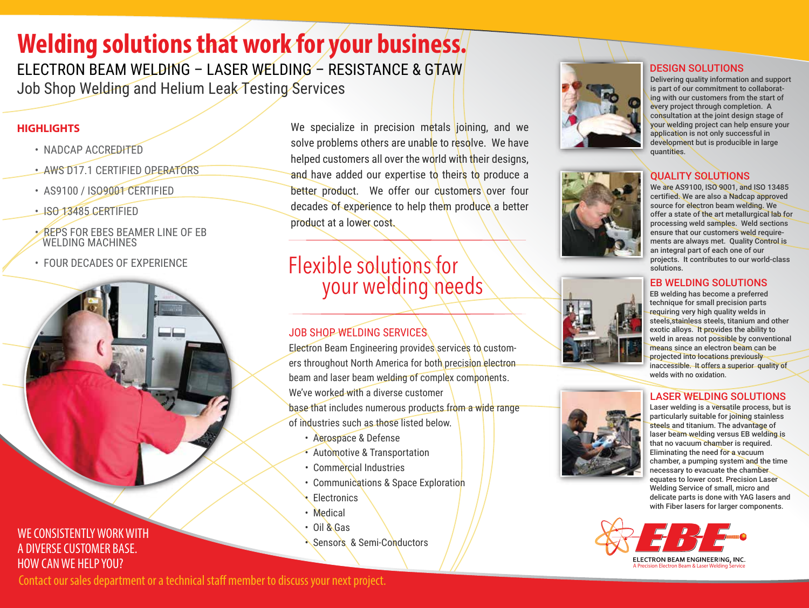# **Welding solutions that work for your business.**

ELECTRON BEAM WELDING – LASER WELDING – RESISTANCE & GTAW Job Shop Welding and Helium Leak Testing Services

#### **HIGHLIGHTS**

- NADCAP ACCREDITED
- AWS D17.1 CERTIFIED OPERATORS
- AS9100 / ISO9001 CERTIFIED
- ISO 13485 CERTIFIED
- REPS FOR EBES BEAMER LINE OF EB WELDING MACHINES
- FOUR DECADES OF EXPERIENCE



We specialize in precision metals joining, and we solve problems others are unable to resolve. We have helped customers all over the world with their designs. and have added our expertise to theirs to produce a better product. We offer our customers over four decades of experience to help them produce a better product at a lower cost.

# Flexible solutions for your welding needs

### JOB SHOP WELDING SERVICES

Electron Beam Engineering provides services to customers throughout North America for both precision electron beam and laser beam welding of complex components. We've worked with a diverse customer base that includes numerous products from a wide range of industries such as those listed below.

- Aerospace & Defense
- Automotive & Transportation
- Commercial Industries
- Communications & Space Exploration
- **Electronics**
- Medical
- Oil & Gas
- Sensors & Semi-Conductors



#### DESIGN SOLUTIONS

Delivering quality information and support is part of our commitment to collaborating with our customers from the start of every project through completion. A consultation at the joint design stage of your welding project can help ensure your application is not only successful in development but is producible in large quantities.

### QUALITY SOLUTIONS

We are AS9100, ISO 9001, and ISO 13485 certified. We are also a Nadcap approved source for electron beam welding. We offer a state of the art metallurgical lab for processing weld samples. Weld sections ensure that our customers weld requirements are always met. Quality Control is an integral part of each one of our projects. It contributes to our world-class solutions.

#### EB WELDING SOLUTIONS

EB welding has become a preferred technique for small precision parts requiring very high quality welds in steels,stainless steels, titanium and other exotic alloys. It provides the ability to weld in areas not possible by conventional means since an electron beam can be projected into locations previously inaccessible. It offers a superior quality of welds with no oxidation.

#### LASER WELDING SOLUTIONS

Laser welding is a versatile process, but is particularly suitable for joining stainless steels and titanium. The advantage of laser beam welding versus EB welding is that no vacuum chamber is required. Eliminating the need for a vacuum chamber, a pumping system and the time necessary to evacuate the chamber equates to lower cost. Precision Laser Welding Service of small, micro and delicate parts is done with YAG lasers and with Fiber lasers for larger components.



Contact our sales department or a technical staff member to discuss your next project.